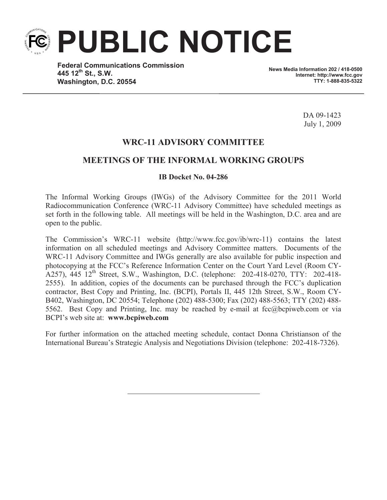**PUBLIC NOTICE**

**Federal Communications Commission 445 12th St., S.W. Washington, D.C. 20554**

**News Media Information 202 / 418-0500 Internet: http://www.fcc.gov TTY: 1-888-835-5322**

> DA 09-1423 July 1, 2009

# **WRC-11 ADVISORY COMMITTEE**

# **MEETINGS OF THE INFORMAL WORKING GROUPS**

### **IB Docket No. 04-286**

The Informal Working Groups (IWGs) of the Advisory Committee for the 2011 World Radiocommunication Conference (WRC-11 Advisory Committee) have scheduled meetings as set forth in the following table. All meetings will be held in the Washington, D.C. area and are open to the public.

The Commission's WRC-11 website (http://www.fcc.gov/ib/wrc-11) contains the latest information on all scheduled meetings and Advisory Committee matters. Documents of the WRC-11 Advisory Committee and IWGs generally are also available for public inspection and photocopying at the FCC's Reference Information Center on the Court Yard Level (Room CY-A257), 445 12<sup>th</sup> Street, S.W., Washington, D.C. (telephone: 202-418-0270, TTY: 202-418-2555). In addition, copies of the documents can be purchased through the FCC's duplication contractor, Best Copy and Printing, Inc. (BCPI), Portals II, 445 12th Street, S.W., Room CY-B402, Washington, DC 20554; Telephone (202) 488-5300; Fax (202) 488-5563; TTY (202) 488- 5562. Best Copy and Printing, Inc. may be reached by e-mail at fcc@bcpiweb.com or via BCPI's web site at: **www.bcpiweb.com**

For further information on the attached meeting schedule, contact Donna Christianson of the International Bureau's Strategic Analysis and Negotiations Division (telephone: 202-418-7326).